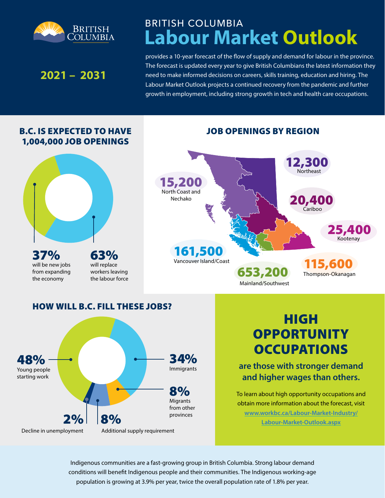

# **Labour Market Outlook** BRITISH COLUMBIA

## **2021 – 2031**

Young people starting work

Decline in unemployment

provides a 10-year forecast of the flow of supply and demand for labour in the province. The forecast is updated every year to give British Columbians the latest information they need to make informed decisions on careers, skills training, education and hiring. The Labour Market Outlook projects a continued recovery from the pandemic and further growth in employment, including strong growth in tech and health care occupations.



**are those with stronger demand and higher wages than others.** 

To learn about high opportunity occupations and obtain more information about the forecast, visit **[www.workbc.ca/Labour-Market-Industry/](https://www.workbc.ca/Labour-Market-Industry/Labour-Market-Outlook.aspx) [Labour-Market-Outlook.aspx](https://www.workbc.ca/Labour-Market-Industry/Labour-Market-Outlook.aspx)**

Indigenous communities are a fast-growing group in British Columbia. Strong labour demand conditions will benefit Indigenous people and their communities. The Indigenous working-age population is growing at 3.9% per year, twice the overall population rate of 1.8% per year.

Migrants from other provinces

8%

Immigrants

Additional supply requirement

 $2% | 8%$